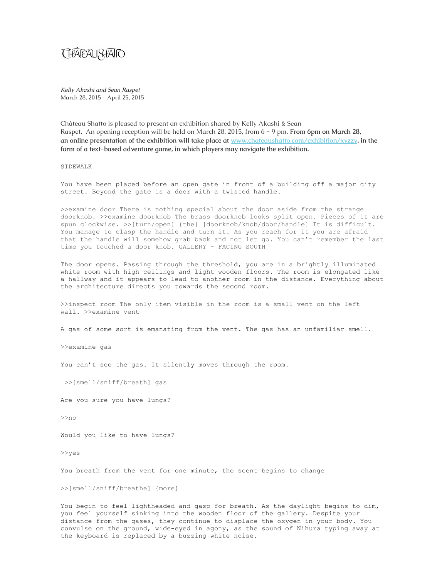## **CHAGAU SHAITO**

*Kelly Akashi and Sean Raspet* March 28, 2015 – April 25, 2015

Château Shatto is pleased to present an exhibition shared by Kelly Akashi & Sean Raspet. An opening reception will be held on March 28, 2015, from 6 - 9 pm. **From 6pm on March 28, an online presentation of the exhibition will take place at www.chateaushatto.com/exhibition/xyzzy, in the form of a text-based adventure game, in which players may navigate the exhibition.**

## SIDEWALK

You have been placed before an open gate in front of a building off a major city street. Beyond the gate is a door with a twisted handle.

>>examine door There is nothing special about the door aside from the strange doorknob. >>examine doorknob The brass doorknob looks split open. Pieces of it are spun clockwise. >>[turn/open] {the} [doorknob/knob/door/handle] It is difficult. You manage to clasp the handle and turn it. As you reach for it you are afraid that the handle will somehow grab back and not let go. You can't remember the last time you touched a door knob. GALLERY - FACING SOUTH

The door opens. Passing through the threshold, you are in a brightly illuminated white room with high ceilings and light wooden floors. The room is elongated like a hallway and it appears to lead to another room in the distance. Everything about the architecture directs you towards the second room.

>>inspect room The only item visible in the room is a small vent on the left wall. >>examine vent

A gas of some sort is emanating from the vent. The gas has an unfamiliar smell.

>>examine gas

You can't see the gas. It silently moves through the room.

>>[smell/sniff/breath] gas

Are you sure you have lungs?

>>no

Would you like to have lungs?

>>yes

You breath from the vent for one minute, the scent begins to change

>>[smell/sniff/breathe] {more}

You begin to feel lightheaded and gasp for breath. As the daylight begins to dim, you feel yourself sinking into the wooden floor of the gallery. Despite your distance from the gases, they continue to displace the oxygen in your body. You convulse on the ground, wide-eyed in agony, as the sound of Nihura typing away at the keyboard is replaced by a buzzing white noise.